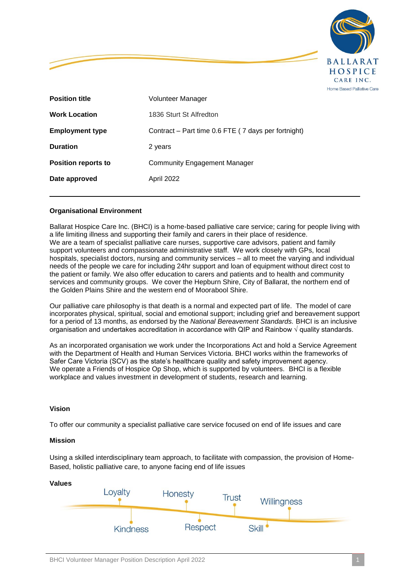

| <b>Position title</b>      | Volunteer Manager                                   |
|----------------------------|-----------------------------------------------------|
| <b>Work Location</b>       | 1836 Sturt St Alfredton                             |
| <b>Employment type</b>     | Contract – Part time 0.6 FTE (7 days per fortnight) |
| <b>Duration</b>            | 2 years                                             |
| <b>Position reports to</b> | <b>Community Engagement Manager</b>                 |
| Date approved              | April 2022                                          |
|                            |                                                     |

## **Organisational Environment**

Ballarat Hospice Care Inc. (BHCI) is a home-based palliative care service; caring for people living with a life limiting illness and supporting their family and carers in their place of residence. We are a team of specialist palliative care nurses, supportive care advisors, patient and family support volunteers and compassionate administrative staff. We work closely with GPs, local hospitals, specialist doctors, nursing and community services – all to meet the varying and individual needs of the people we care for including 24hr support and loan of equipment without direct cost to the patient or family. We also offer education to carers and patients and to health and community services and community groups. We cover the Hepburn Shire, City of Ballarat, the northern end of the Golden Plains Shire and the western end of Moorabool Shire.

Our palliative care philosophy is that death is a normal and expected part of life. The model of care incorporates physical, spiritual, social and emotional support; including grief and bereavement support for a period of 13 months, as endorsed by the *National Bereavement Standards.* BHCI is an inclusive organisation and undertakes accreditation in accordance with QIP and Rainbow  $\sqrt{\frac{1}{\text{quality}}}$  standards.

As an incorporated organisation we work under the Incorporations Act and hold a Service Agreement with the Department of Health and Human Services Victoria. BHCI works within the frameworks of Safer Care Victoria (SCV) as the state's healthcare quality and safety improvement agency. We operate a Friends of Hospice Op Shop, which is supported by volunteers. BHCI is a flexible workplace and values investment in development of students, research and learning.

### **Vision**

To offer our community a specialist palliative care service focused on end of life issues and care

### **Mission**

Using a skilled interdisciplinary team approach, to facilitate with compassion, the provision of Home-Based, holistic palliative care, to anyone facing end of life issues

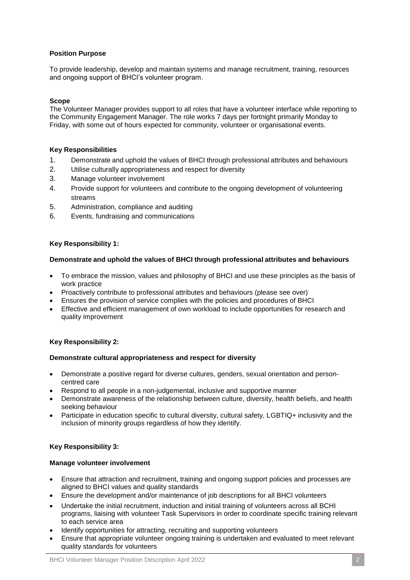## **Position Purpose**

To provide leadership, develop and maintain systems and manage recruitment, training, resources and ongoing support of BHCI's volunteer program.

#### **Scope**

The Volunteer Manager provides support to all roles that have a volunteer interface while reporting to the Community Engagement Manager. The role works 7 days per fortnight primarily Monday to Friday, with some out of hours expected for community, volunteer or organisational events.

### **Key Responsibilities**

- 1. Demonstrate and uphold the values of BHCI through professional attributes and behaviours
- 2. Utilise culturally appropriateness and respect for diversity
- 3. Manage volunteer involvement
- 4. Provide support for volunteers and contribute to the ongoing development of volunteering streams
- 5. Administration, compliance and auditing
- 6. Events, fundraising and communications

#### **Key Responsibility 1:**

#### **Demonstrate and uphold the values of BHCI through professional attributes and behaviours**

- To embrace the mission, values and philosophy of BHCI and use these principles as the basis of work practice
- Proactively contribute to professional attributes and behaviours (please see over)
- Ensures the provision of service complies with the policies and procedures of BHCI
- Effective and efficient management of own workload to include opportunities for research and quality improvement

### **Key Responsibility 2:**

#### **Demonstrate cultural appropriateness and respect for diversity**

- Demonstrate a positive regard for diverse cultures, genders, sexual orientation and personcentred care
- Respond to all people in a non-judgemental, inclusive and supportive manner
- Demonstrate awareness of the relationship between culture, diversity, health beliefs, and health seeking behaviour
- Participate in education specific to cultural diversity, cultural safety, LGBTIQ+ inclusivity and the inclusion of minority groups regardless of how they identify.

### **Key Responsibility 3:**

#### **Manage volunteer involvement**

- Ensure that attraction and recruitment, training and ongoing support policies and processes are aligned to BHCI values and quality standards
- Ensure the development and/or maintenance of job descriptions for all BHCI volunteers
- Undertake the initial recruitment, induction and initial training of volunteers across all BCHI programs, liaising with volunteer Task Supervisors in order to coordinate specific training relevant to each service area
- Identify opportunities for attracting, recruiting and supporting volunteers
- Ensure that appropriate volunteer ongoing training is undertaken and evaluated to meet relevant quality standards for volunteers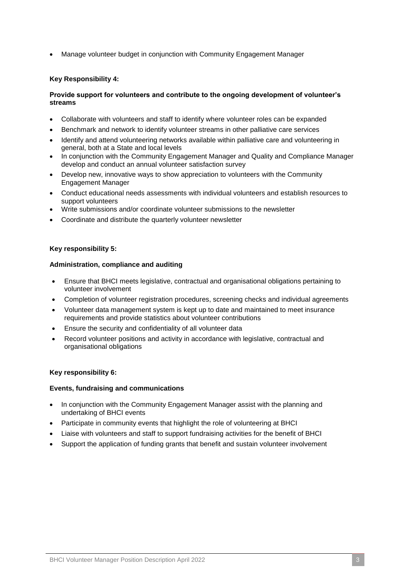Manage volunteer budget in conjunction with Community Engagement Manager

## **Key Responsibility 4:**

## **Provide support for volunteers and contribute to the ongoing development of volunteer's streams**

- Collaborate with volunteers and staff to identify where volunteer roles can be expanded
- Benchmark and network to identify volunteer streams in other palliative care services
- Identify and attend volunteering networks available within palliative care and volunteering in general, both at a State and local levels
- In conjunction with the Community Engagement Manager and Quality and Compliance Manager develop and conduct an annual volunteer satisfaction survey
- Develop new, innovative ways to show appreciation to volunteers with the Community Engagement Manager
- Conduct educational needs assessments with individual volunteers and establish resources to support volunteers
- Write submissions and/or coordinate volunteer submissions to the newsletter
- Coordinate and distribute the quarterly volunteer newsletter

### **Key responsibility 5:**

### **Administration, compliance and auditing**

- Ensure that BHCI meets legislative, contractual and organisational obligations pertaining to volunteer involvement
- Completion of volunteer registration procedures, screening checks and individual agreements
- Volunteer data management system is kept up to date and maintained to meet insurance requirements and provide statistics about volunteer contributions
- Ensure the security and confidentiality of all volunteer data
- Record volunteer positions and activity in accordance with legislative, contractual and organisational obligations

### **Key responsibility 6:**

### **Events, fundraising and communications**

- In conjunction with the Community Engagement Manager assist with the planning and undertaking of BHCI events
- Participate in community events that highlight the role of volunteering at BHCI
- Liaise with volunteers and staff to support fundraising activities for the benefit of BHCI
- Support the application of funding grants that benefit and sustain volunteer involvement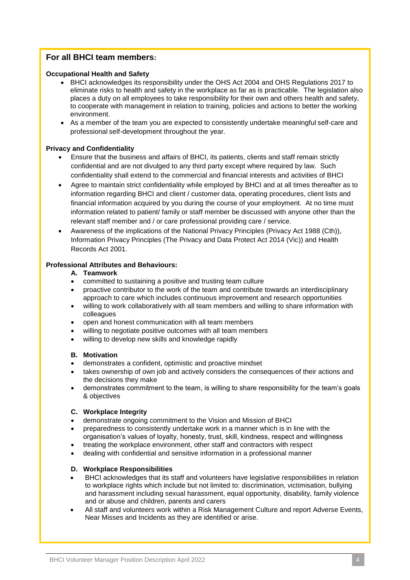# **For all BHCI team members:**

## **Occupational Health and Safety**

- BHCI acknowledges its responsibility under the OHS Act 2004 and OHS Regulations 2017 to eliminate risks to health and safety in the workplace as far as is practicable. The legislation also places a duty on all employees to take responsibility for their own and others health and safety, to cooperate with management in relation to training, policies and actions to better the working environment.
- As a member of the team you are expected to consistently undertake meaningful self-care and professional self-development throughout the year.

## **Privacy and Confidentiality**

- Ensure that the business and affairs of BHCI, its patients, clients and staff remain strictly confidential and are not divulged to any third party except where required by law. Such confidentiality shall extend to the commercial and financial interests and activities of BHCI
- Agree to maintain strict confidentiality while employed by BHCI and at all times thereafter as to information regarding BHCI and client / customer data, operating procedures, client lists and financial information acquired by you during the course of your employment. At no time must information related to patient/ family or staff member be discussed with anyone other than the relevant staff member and / or care professional providing care / service.
- Awareness of the implications of the National Privacy Principles (Privacy Act 1988 (Cth)), Information Privacy Principles (The Privacy and Data Protect Act 2014 (Vic)) and Health Records Act 2001.

## **Professional Attributes and Behaviours:**

### **A. Teamwork**

- committed to sustaining a positive and trusting team culture
- proactive contributor to the work of the team and contribute towards an interdisciplinary approach to care which includes continuous improvement and research opportunities
- willing to work collaboratively with all team members and willing to share information with colleagues
- open and honest communication with all team members
- willing to negotiate positive outcomes with all team members
- willing to develop new skills and knowledge rapidly

### **B. Motivation**

- demonstrates a confident, optimistic and proactive mindset
- takes ownership of own job and actively considers the consequences of their actions and the decisions they make
- demonstrates commitment to the team, is willing to share responsibility for the team's goals & objectives

### **C. Workplace Integrity**

- demonstrate ongoing commitment to the Vision and Mission of BHCI
- preparedness to consistently undertake work in a manner which is in line with the organisation's values of loyalty, honesty, trust, skill, kindness, respect and willingness
- treating the workplace environment, other staff and contractors with respect
- dealing with confidential and sensitive information in a professional manner

# **D. Workplace Responsibilities**

- BHCI acknowledges that its staff and volunteers have legislative responsibilities in relation to workplace rights which include but not limited to: discrimination, victimisation, bullying and harassment including sexual harassment, equal opportunity, disability, family violence and or abuse and children, parents and carers
- All staff and volunteers work within a Risk Management Culture and report Adverse Events, Near Misses and Incidents as they are identified or arise.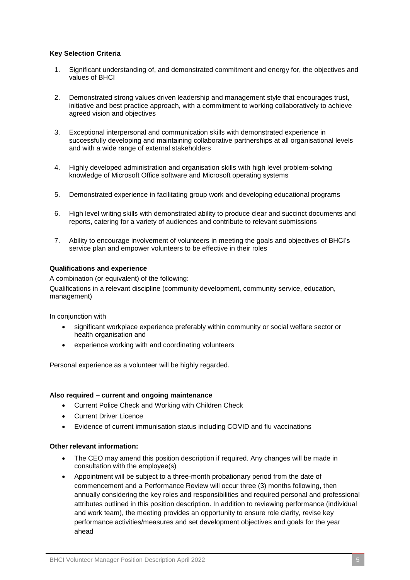## **Key Selection Criteria**

- 1. Significant understanding of, and demonstrated commitment and energy for, the objectives and values of BHCI
- 2. Demonstrated strong values driven leadership and management style that encourages trust, initiative and best practice approach, with a commitment to working collaboratively to achieve agreed vision and objectives
- 3. Exceptional interpersonal and communication skills with demonstrated experience in successfully developing and maintaining collaborative partnerships at all organisational levels and with a wide range of external stakeholders
- 4. Highly developed administration and organisation skills with high level problem-solving knowledge of Microsoft Office software and Microsoft operating systems
- 5. Demonstrated experience in facilitating group work and developing educational programs
- 6. High level writing skills with demonstrated ability to produce clear and succinct documents and reports, catering for a variety of audiences and contribute to relevant submissions
- 7. Ability to encourage involvement of volunteers in meeting the goals and objectives of BHCI's service plan and empower volunteers to be effective in their roles

## **Qualifications and experience**

A combination (or equivalent) of the following:

Qualifications in a relevant discipline (community development, community service, education, management)

In conjunction with

- significant workplace experience preferably within community or social welfare sector or health organisation and
- experience working with and coordinating volunteers

Personal experience as a volunteer will be highly regarded.

### **Also required – current and ongoing maintenance**

- Current Police Check and Working with Children Check
- Current Driver Licence
- Evidence of current immunisation status including COVID and flu vaccinations

### **Other relevant information:**

- The CEO may amend this position description if required. Any changes will be made in consultation with the employee(s)
- Appointment will be subject to a three-month probationary period from the date of commencement and a Performance Review will occur three (3) months following, then annually considering the key roles and responsibilities and required personal and professional attributes outlined in this position description. In addition to reviewing performance (individual and work team), the meeting provides an opportunity to ensure role clarity, revise key performance activities/measures and set development objectives and goals for the year ahead